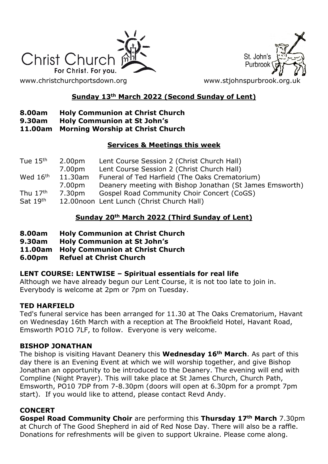

St. John's Purbroo

# **Sunday 13th March 2022 (Second Sunday of Lent)**

# **8.00am Holy Communion at Christ Church**

**9.30am Holy Communion at St John's**

#### **11.00am Morning Worship at Christ Church**

#### **Services & Meetings this week**

| Tue $15th$           | 2.00 <sub>pm</sub> | Lent Course Session 2 (Christ Church Hall)               |
|----------------------|--------------------|----------------------------------------------------------|
|                      | 7.00pm             | Lent Course Session 2 (Christ Church Hall)               |
| Wed 16 <sup>th</sup> | 11.30am            | Funeral of Ted Harfield (The Oaks Crematorium)           |
|                      | 7.00pm             | Deanery meeting with Bishop Jonathan (St James Emsworth) |
| Thu $17th$           | 7.30pm             | Gospel Road Community Choir Concert (CoGS)               |
| Sat 19th             |                    | 12.00noon Lent Lunch (Christ Church Hall)                |

# **Sunday 20th March 2022 (Third Sunday of Lent)**

- **8.00am Holy Communion at Christ Church**
- **9.30am Holy Communion at St John's**
- **11.00am Holy Communion at Christ Church**
- **6.00pm Refuel at Christ Church**

## **LENT COURSE: LENTWISE – Spiritual essentials for real life**

Although we have already begun our Lent Course, it is not too late to join in. Everybody is welcome at 2pm or 7pm on Tuesday.

## **TED HARFIELD**

Ted's funeral service has been arranged for 11.30 at The Oaks Crematorium, Havant on Wednesday 16th March with a reception at The Brookfield Hotel, Havant Road, Emsworth PO1O 7LF, to follow. Everyone is very welcome.

## **BISHOP JONATHAN**

The bishop is visiting Havant Deanery this **Wednesday 16th March**. As part of this day there is an Evening Event at which we will worship together, and give Bishop Jonathan an opportunity to be introduced to the Deanery. The evening will end with Compline (Night Prayer). This will take place at St James Church, Church Path, Emsworth, PO10 7DP from 7-8.30pm (doors will open at 6.30pm for a prompt 7pm start). If you would like to attend, please contact Revd Andy.

## **CONCERT**

**Gospel Road Community Choir** are performing this **Thursday 17th March** 7.30pm at Church of The Good Shepherd in aid of Red Nose Day. There will also be a raffle. Donations for refreshments will be given to support Ukraine. Please come along.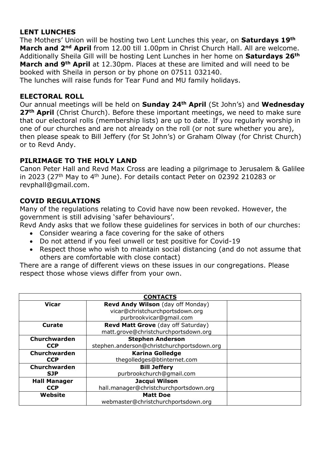## **LENT LUNCHES**

The Mothers' Union will be hosting two Lent Lunches this year, on **Saturdays 19th March and 2nd April** from 12.00 till 1.00pm in Christ Church Hall. All are welcome. Additionally Sheila Gill will be hosting Lent Lunches in her home on **Saturdays 26th March and 9th April** at 12.30pm. Places at these are limited and will need to be booked with Sheila in person or by phone on 07511 032140.

The lunches will raise funds for Tear Fund and MU family holidays.

#### **ELECTORAL ROLL**

Our annual meetings will be held on **Sunday 24th April** (St John's) and **Wednesday 27th April** (Christ Church). Before these important meetings, we need to make sure that our electoral rolls (membership lists) are up to date. If you regularly worship in one of our churches and are not already on the roll (or not sure whether you are), then please speak to Bill Jeffery (for St John's) or Graham Olway (for Christ Church) or to Revd Andy.

## **PILRIMAGE TO THE HOLY LAND**

Canon Peter Hall and Revd Max Cross are leading a pilgrimage to Jerusalem & Galilee in 2023 (27<sup>th</sup> May to 4<sup>th</sup> June). For details contact Peter on 02392 210283 or revphall@gmail.com.

## **COVID REGULATIONS**

Many of the regulations relating to Covid have now been revoked. However, the government is still advising 'safer behaviours'.

Revd Andy asks that we follow these guidelines for services in both of our churches:

- Consider wearing a face covering for the sake of others
- Do not attend if you feel unwell or test positive for Covid-19
- Respect those who wish to maintain social distancing (and do not assume that others are comfortable with close contact)

There are a range of different views on these issues in our congregations. Please respect those whose views differ from your own.

| <b>CONTACTS</b>     |                                            |  |  |
|---------------------|--------------------------------------------|--|--|
| <b>Vicar</b>        | Revd Andy Wilson (day off Monday)          |  |  |
|                     | vicar@christchurchportsdown.org            |  |  |
|                     | purbrookvicar@gmail.com                    |  |  |
| Curate              | Revd Matt Grove (day off Saturday)         |  |  |
|                     | matt.grove@christchurchportsdown.org       |  |  |
| Churchwarden        | <b>Stephen Anderson</b>                    |  |  |
| <b>CCP</b>          | stephen.anderson@christchurchportsdown.org |  |  |
| Churchwarden        | <b>Karina Golledge</b>                     |  |  |
| <b>CCP</b>          | thegolledges@btinternet.com                |  |  |
| Churchwarden        | <b>Bill Jeffery</b>                        |  |  |
| <b>SJP</b>          | purbrookchurch@qmail.com                   |  |  |
| <b>Hall Manager</b> | Jacqui Wilson                              |  |  |
| <b>CCP</b>          | hall.manager@christchurchportsdown.org     |  |  |
| Website             | <b>Matt Doe</b>                            |  |  |
|                     | webmaster@christchurchportsdown.org        |  |  |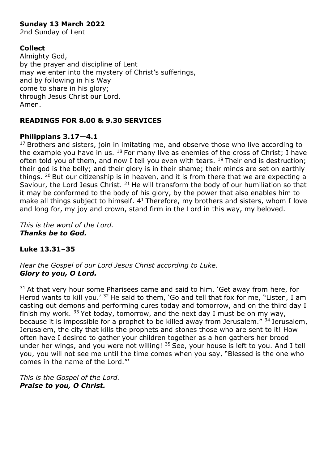# **Sunday 13 March 2022**

2nd Sunday of Lent

## **Collect**

Almighty God, by the prayer and discipline of Lent may we enter into the mystery of Christ's sufferings, and by following in his Way come to share in his glory; through Jesus Christ our Lord. Amen.

## **READINGS FOR 8.00 & 9.30 SERVICES**

## **Philippians 3.17—4.1**

 $17$  Brothers and sisters, join in imitating me, and observe those who live according to the example you have in us.  $18$  For many live as enemies of the cross of Christ; I have often told you of them, and now I tell you even with tears.  $19$  Their end is destruction; their god is the belly; and their glory is in their shame; their minds are set on earthly things.  $20$  But our citizenship is in heaven, and it is from there that we are expecting a Saviour, the Lord Jesus Christ. <sup>21</sup> He will transform the body of our humiliation so that it may be conformed to the body of his glory, by the power that also enables him to make all things subject to himself.  $4<sup>1</sup>$  Therefore, my brothers and sisters, whom I love and long for, my joy and crown, stand firm in the Lord in this way, my beloved.

*This is the word of the Lord. Thanks be to God.*

## **Luke 13.31–35**

*Hear the Gospel of our Lord Jesus Christ according to Luke. Glory to you, O Lord.*

 $31$  At that very hour some Pharisees came and said to him, 'Get away from here, for Herod wants to kill you.'  $32$  He said to them, 'Go and tell that fox for me, "Listen, I am casting out demons and performing cures today and tomorrow, and on the third day I finish my work.  $33$  Yet today, tomorrow, and the next day I must be on my way, because it is impossible for a prophet to be killed away from Jerusalem."  $34$  Jerusalem, Jerusalem, the city that kills the prophets and stones those who are sent to it! How often have I desired to gather your children together as a hen gathers her brood under her wings, and you were not willing!  $35$  See, your house is left to you. And I tell you, you will not see me until the time comes when you say, "Blessed is the one who comes in the name of the Lord."'

*This is the Gospel of the Lord. Praise to you, O Christ.*